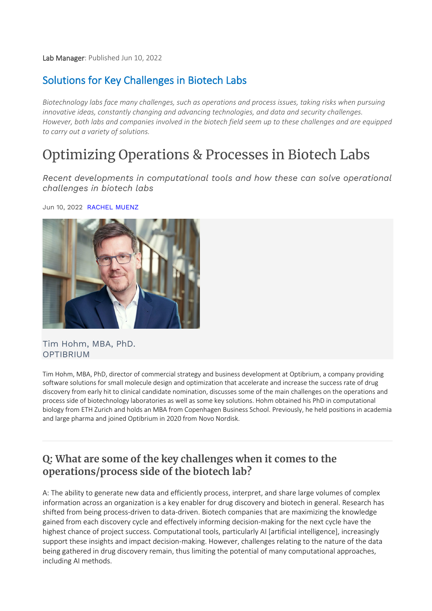Lab Manager: Published Jun 10, 2022

# Solutions for Key Challenges in Biotech Labs

*Biotechnology labs face many challenges, such as operations and process issues, taking risks when pursuing innovative ideas, constantly changing and advancing technologies, and data and security challenges. However, both labs and companies involved in the biotech field seem up to these challenges and are equipped to carry out a variety of solutions.*

# Optimizing Operations & Processes in Biotech Labs

*Recent developments in computational tools and how these can solve operational challenges in biotech labs*

Jun 10, 2022 RACHEL MUENZ



#### Tim Hohm, MBA, PhD. OPTIBRIUM

Tim Hohm, MBA, PhD, director of commercial strategy and business development at Optibrium, a company providing software solutions for small molecule design and optimization that accelerate and increase the success rate of drug discovery from early hit to clinical candidate nomination, discusses some of the main challenges on the operations and process side of biotechnology laboratories as well as some key solutions. Hohm obtained his PhD in computational biology from ETH Zurich and holds an MBA from Copenhagen Business School. Previously, he held positions in academia and large pharma and joined Optibrium in 2020 from Novo Nordisk.

## **Q: What are some of the key challenges when it comes to the operations/process side of the biotech lab?**

A: The ability to generate new data and efficiently process, interpret, and share large volumes of complex information across an organization is a key enabler for drug discovery and biotech in general. Research has shifted from being process-driven to data-driven. Biotech companies that are maximizing the knowledge gained from each discovery cycle and effectively informing decision-making for the next cycle have the highest chance of project success. Computational tools, particularly AI [artificial intelligence], increasingly support these insights and impact decision-making. However, challenges relating to the nature of the data being gathered in drug discovery remain, thus limiting the potential of many computational approaches, including AI methods.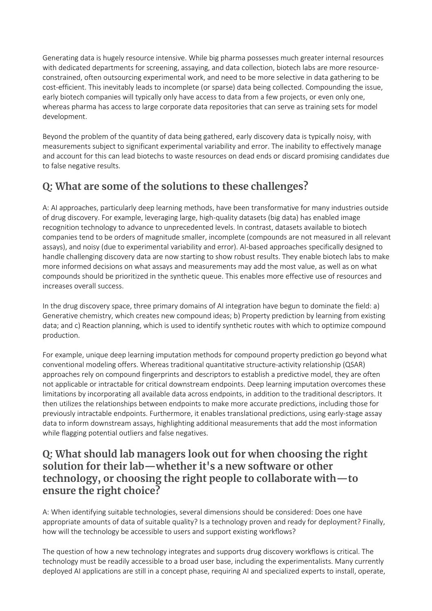Generating data is hugely resource intensive. While big pharma possesses much greater internal resources with dedicated departments for screening, assaying, and data collection, biotech labs are more resourceconstrained, often outsourcing experimental work, and need to be more selective in data gathering to be cost-efficient. This inevitably leads to incomplete (or sparse) data being collected. Compounding the issue, early biotech companies will typically only have access to data from a few projects, or even only one, whereas pharma has access to large corporate data repositories that can serve as training sets for model development.

Beyond the problem of the quantity of data being gathered, early discovery data is typically noisy, with measurements subject to significant experimental variability and error. The inability to effectively manage and account for this can lead biotechs to waste resources on dead ends or discard promising candidates due to false negative results.

# **Q: What are some of the solutions to these challenges?**

A: AI approaches, particularly deep learning methods, have been transformative for many industries outside of drug discovery. For example, leveraging large, high-quality datasets (big data) has enabled image recognition technology to advance to unprecedented levels. In contrast, datasets available to biotech companies tend to be orders of magnitude smaller, incomplete (compounds are not measured in all relevant assays), and noisy (due to experimental variability and error). AI-based approaches specifically designed to handle challenging discovery data are now starting to show robust results. They enable biotech labs to make more informed decisions on what assays and measurements may add the most value, as well as on what compounds should be prioritized in the synthetic queue. This enables more effective use of resources and increases overall success.

In the drug discovery space, three primary domains of AI integration have begun to dominate the field: a) Generative chemistry, which creates new compound ideas; b) Property prediction by learning from existing data; and c) Reaction planning, which is used to identify synthetic routes with which to optimize compound production.

For example, unique deep learning imputation methods for compound property prediction go beyond what conventional modeling offers. Whereas traditional quantitative structure-activity relationship (QSAR) approaches rely on compound fingerprints and descriptors to establish a predictive model, they are often not applicable or intractable for critical downstream endpoints. Deep learning imputation overcomes these limitations by incorporating all available data across endpoints, in addition to the traditional descriptors. It then utilizes the relationships between endpoints to make more accurate predictions, including those for previously intractable endpoints. Furthermore, it enables translational predictions, using early-stage assay data to inform downstream assays, highlighting additional measurements that add the most information while flagging potential outliers and false negatives.

### **Q: What should lab managers look out for when choosing the right solution for their lab—whether it's a new software or other technology, or choosing the right people to collaborate with—to ensure the right choice?**

A: When identifying suitable technologies, several dimensions should be considered: Does one have appropriate amounts of data of suitable quality? Is a technology proven and ready for deployment? Finally, how will the technology be accessible to users and support existing workflows?

The question of how a new technology integrates and supports drug discovery workflows is critical. The technology must be readily accessible to a broad user base, including the experimentalists. Many currently deployed AI applications are still in a concept phase, requiring AI and specialized experts to install, operate,